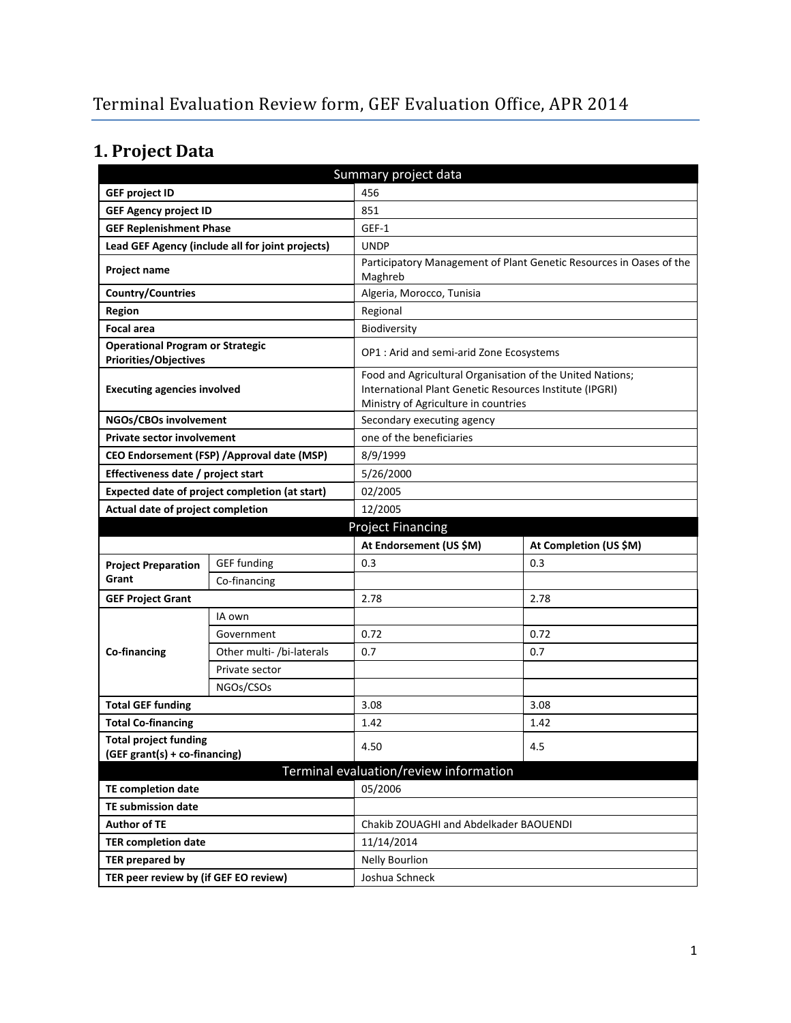# **1. Project Data**

| Summary project data                                                    |                                                  |                                                                                                                                                              |                                                                     |  |
|-------------------------------------------------------------------------|--------------------------------------------------|--------------------------------------------------------------------------------------------------------------------------------------------------------------|---------------------------------------------------------------------|--|
| <b>GEF project ID</b>                                                   |                                                  | 456                                                                                                                                                          |                                                                     |  |
| <b>GEF Agency project ID</b>                                            |                                                  | 851                                                                                                                                                          |                                                                     |  |
| <b>GEF Replenishment Phase</b>                                          |                                                  | GEF-1                                                                                                                                                        |                                                                     |  |
|                                                                         | Lead GEF Agency (include all for joint projects) | <b>UNDP</b>                                                                                                                                                  |                                                                     |  |
| Project name                                                            |                                                  | Maghreb                                                                                                                                                      | Participatory Management of Plant Genetic Resources in Oases of the |  |
| <b>Country/Countries</b>                                                |                                                  | Algeria, Morocco, Tunisia                                                                                                                                    |                                                                     |  |
| Region                                                                  |                                                  | Regional                                                                                                                                                     |                                                                     |  |
| <b>Focal area</b>                                                       |                                                  | Biodiversity                                                                                                                                                 |                                                                     |  |
| <b>Operational Program or Strategic</b><br><b>Priorities/Objectives</b> |                                                  | OP1 : Arid and semi-arid Zone Ecosystems                                                                                                                     |                                                                     |  |
| <b>Executing agencies involved</b>                                      |                                                  | Food and Agricultural Organisation of the United Nations;<br>International Plant Genetic Resources Institute (IPGRI)<br>Ministry of Agriculture in countries |                                                                     |  |
| NGOs/CBOs involvement                                                   |                                                  | Secondary executing agency                                                                                                                                   |                                                                     |  |
| <b>Private sector involvement</b>                                       |                                                  | one of the beneficiaries                                                                                                                                     |                                                                     |  |
| CEO Endorsement (FSP) / Approval date (MSP)<br>8/9/1999                 |                                                  |                                                                                                                                                              |                                                                     |  |
| Effectiveness date / project start                                      |                                                  | 5/26/2000                                                                                                                                                    |                                                                     |  |
|                                                                         | Expected date of project completion (at start)   | 02/2005                                                                                                                                                      |                                                                     |  |
| Actual date of project completion                                       |                                                  | 12/2005                                                                                                                                                      |                                                                     |  |
|                                                                         |                                                  | <b>Project Financing</b>                                                                                                                                     |                                                                     |  |
|                                                                         |                                                  | At Endorsement (US \$M)                                                                                                                                      | At Completion (US \$M)                                              |  |
|                                                                         |                                                  |                                                                                                                                                              |                                                                     |  |
| <b>Project Preparation</b>                                              | <b>GEF</b> funding                               | 0.3                                                                                                                                                          | 0.3                                                                 |  |
| Grant                                                                   | Co-financing                                     |                                                                                                                                                              |                                                                     |  |
| <b>GEF Project Grant</b>                                                |                                                  | 2.78                                                                                                                                                         | 2.78                                                                |  |
|                                                                         | IA own                                           |                                                                                                                                                              |                                                                     |  |
|                                                                         | Government                                       | 0.72                                                                                                                                                         | 0.72                                                                |  |
| Co-financing                                                            | Other multi- /bi-laterals                        | 0.7                                                                                                                                                          | 0.7                                                                 |  |
|                                                                         | Private sector                                   |                                                                                                                                                              |                                                                     |  |
|                                                                         | NGOs/CSOs                                        |                                                                                                                                                              |                                                                     |  |
| <b>Total GEF funding</b>                                                |                                                  | 3.08                                                                                                                                                         | 3.08                                                                |  |
| <b>Total Co-financing</b>                                               |                                                  | 1.42                                                                                                                                                         | 1.42                                                                |  |
| <b>Total project funding</b>                                            |                                                  |                                                                                                                                                              |                                                                     |  |
| (GEF grant(s) + co-financing)                                           |                                                  | 4.50                                                                                                                                                         | 4.5                                                                 |  |
|                                                                         |                                                  | Terminal evaluation/review information                                                                                                                       |                                                                     |  |
| <b>TE completion date</b>                                               |                                                  | 05/2006                                                                                                                                                      |                                                                     |  |
| <b>TE submission date</b>                                               |                                                  |                                                                                                                                                              |                                                                     |  |
| <b>Author of TE</b>                                                     |                                                  | Chakib ZOUAGHI and Abdelkader BAOUENDI                                                                                                                       |                                                                     |  |
| <b>TER completion date</b>                                              |                                                  | 11/14/2014                                                                                                                                                   |                                                                     |  |
| <b>TER prepared by</b>                                                  |                                                  | <b>Nelly Bourlion</b>                                                                                                                                        |                                                                     |  |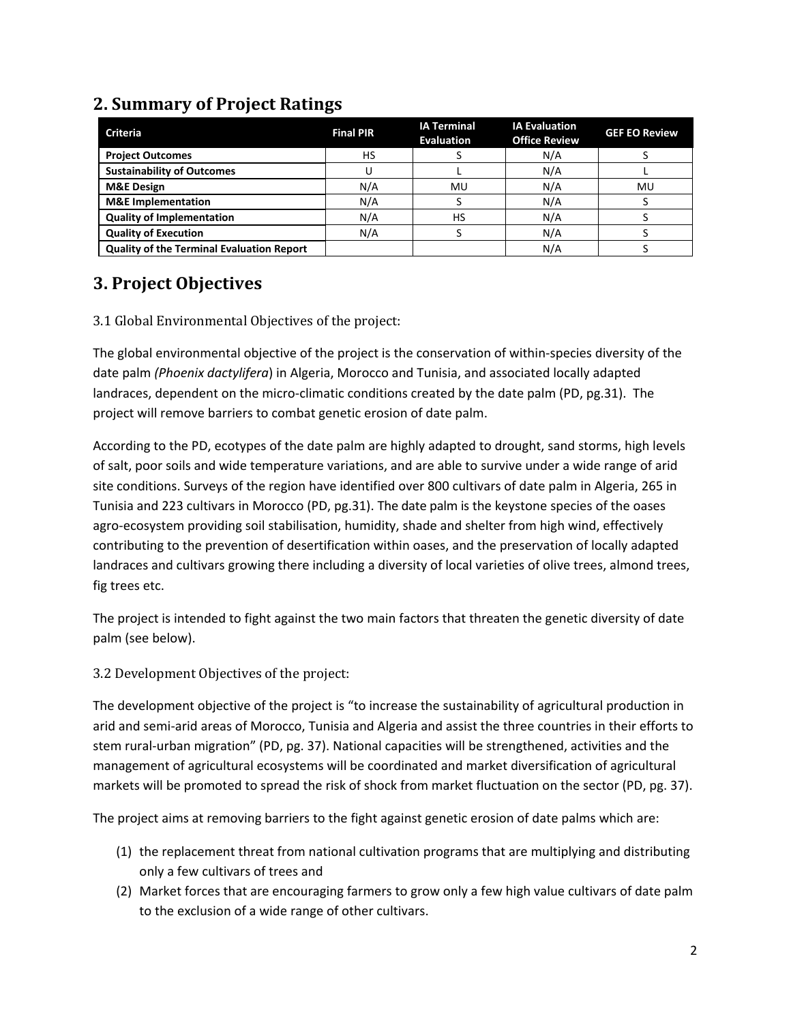# **2. Summary of Project Ratings**

| <b>Criteria</b>                                  | <b>Final PIR</b> | <b>IA Terminal</b><br><b>Evaluation</b> | <b>IA Evaluation</b><br><b>Office Review</b> | <b>GEF EO Review</b> |
|--------------------------------------------------|------------------|-----------------------------------------|----------------------------------------------|----------------------|
| <b>Project Outcomes</b>                          | НS               |                                         | N/A                                          |                      |
| <b>Sustainability of Outcomes</b>                |                  |                                         | N/A                                          |                      |
| <b>M&amp;E Design</b>                            | N/A              | MU                                      | N/A                                          | MU                   |
| <b>M&amp;E</b> Implementation                    | N/A              |                                         | N/A                                          |                      |
| <b>Quality of Implementation</b>                 | N/A              | HS                                      | N/A                                          |                      |
| <b>Quality of Execution</b>                      | N/A              |                                         | N/A                                          |                      |
| <b>Quality of the Terminal Evaluation Report</b> |                  |                                         | N/A                                          |                      |

### **3. Project Objectives**

#### 3.1 Global Environmental Objectives of the project:

The global environmental objective of the project is the conservation of within-species diversity of the date palm *(Phoenix dactylifera*) in Algeria, Morocco and Tunisia, and associated locally adapted landraces, dependent on the micro-climatic conditions created by the date palm (PD, pg.31). The project will remove barriers to combat genetic erosion of date palm.

According to the PD, ecotypes of the date palm are highly adapted to drought, sand storms, high levels of salt, poor soils and wide temperature variations, and are able to survive under a wide range of arid site conditions. Surveys of the region have identified over 800 cultivars of date palm in Algeria, 265 in Tunisia and 223 cultivars in Morocco (PD, pg.31). The date palm is the keystone species of the oases agro-ecosystem providing soil stabilisation, humidity, shade and shelter from high wind, effectively contributing to the prevention of desertification within oases, and the preservation of locally adapted landraces and cultivars growing there including a diversity of local varieties of olive trees, almond trees, fig trees etc.

The project is intended to fight against the two main factors that threaten the genetic diversity of date palm (see below).

3.2 Development Objectives of the project:

The development objective of the project is "to increase the sustainability of agricultural production in arid and semi-arid areas of Morocco, Tunisia and Algeria and assist the three countries in their efforts to stem rural-urban migration" (PD, pg. 37). National capacities will be strengthened, activities and the management of agricultural ecosystems will be coordinated and market diversification of agricultural markets will be promoted to spread the risk of shock from market fluctuation on the sector (PD, pg. 37).

The project aims at removing barriers to the fight against genetic erosion of date palms which are:

- (1) the replacement threat from national cultivation programs that are multiplying and distributing only a few cultivars of trees and
- (2) Market forces that are encouraging farmers to grow only a few high value cultivars of date palm to the exclusion of a wide range of other cultivars.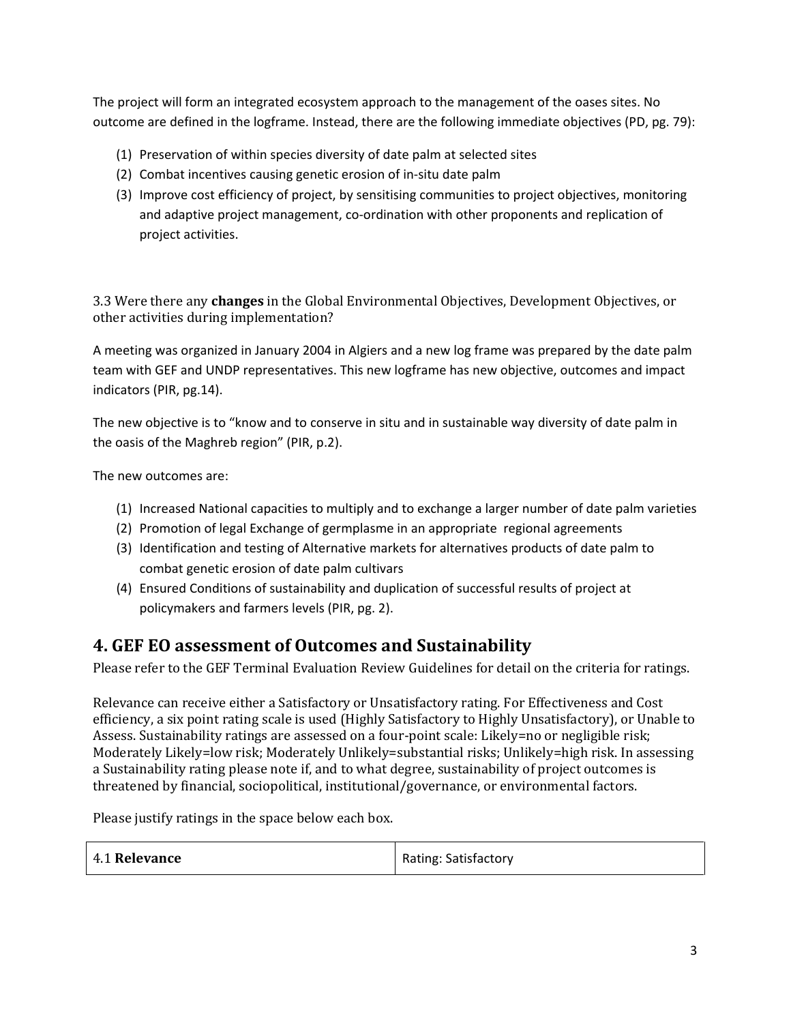The project will form an integrated ecosystem approach to the management of the oases sites. No outcome are defined in the logframe. Instead, there are the following immediate objectives (PD, pg. 79):

- (1) Preservation of within species diversity of date palm at selected sites
- (2) Combat incentives causing genetic erosion of in-situ date palm
- (3) Improve cost efficiency of project, by sensitising communities to project objectives, monitoring and adaptive project management, co-ordination with other proponents and replication of project activities.

3.3 Were there any **changes** in the Global Environmental Objectives, Development Objectives, or other activities during implementation?

A meeting was organized in January 2004 in Algiers and a new log frame was prepared by the date palm team with GEF and UNDP representatives. This new logframe has new objective, outcomes and impact indicators (PIR, pg.14).

The new objective is to "know and to conserve in situ and in sustainable way diversity of date palm in the oasis of the Maghreb region" (PIR, p.2).

The new outcomes are:

- (1) Increased National capacities to multiply and to exchange a larger number of date palm varieties
- (2) Promotion of legal Exchange of germplasme in an appropriate regional agreements
- (3) Identification and testing of Alternative markets for alternatives products of date palm to combat genetic erosion of date palm cultivars
- (4) Ensured Conditions of sustainability and duplication of successful results of project at policymakers and farmers levels (PIR, pg. 2).

### **4. GEF EO assessment of Outcomes and Sustainability**

Please refer to the GEF Terminal Evaluation Review Guidelines for detail on the criteria for ratings.

Relevance can receive either a Satisfactory or Unsatisfactory rating. For Effectiveness and Cost efficiency, a six point rating scale is used (Highly Satisfactory to Highly Unsatisfactory), or Unable to Assess. Sustainability ratings are assessed on a four-point scale: Likely=no or negligible risk; Moderately Likely=low risk; Moderately Unlikely=substantial risks; Unlikely=high risk. In assessing a Sustainability rating please note if, and to what degree, sustainability of project outcomes is threatened by financial, sociopolitical, institutional/governance, or environmental factors.

Please justify ratings in the space below each box.

| 4.1 Relevance | <b>Rating: Satisfactory</b> |
|---------------|-----------------------------|
|---------------|-----------------------------|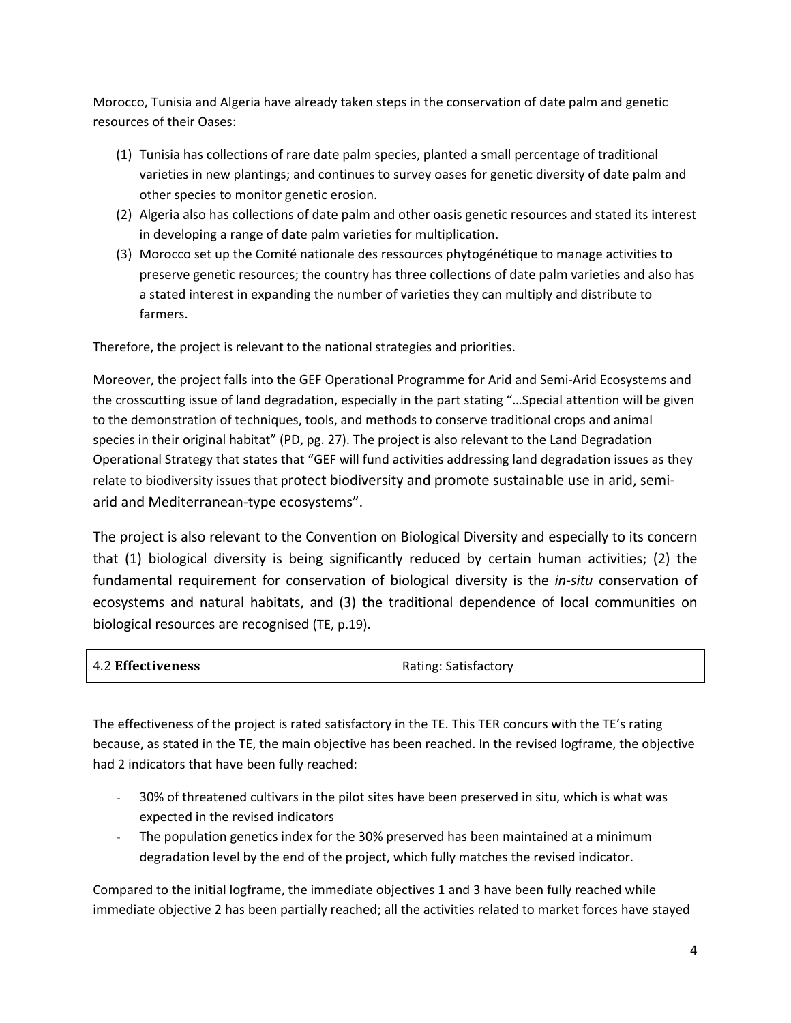Morocco, Tunisia and Algeria have already taken steps in the conservation of date palm and genetic resources of their Oases:

- (1) Tunisia has collections of rare date palm species, planted a small percentage of traditional varieties in new plantings; and continues to survey oases for genetic diversity of date palm and other species to monitor genetic erosion.
- (2) Algeria also has collections of date palm and other oasis genetic resources and stated its interest in developing a range of date palm varieties for multiplication.
- (3) Morocco set up the Comité nationale des ressources phytogénétique to manage activities to preserve genetic resources; the country has three collections of date palm varieties and also has a stated interest in expanding the number of varieties they can multiply and distribute to farmers.

Therefore, the project is relevant to the national strategies and priorities.

Moreover, the project falls into the GEF Operational Programme for Arid and Semi-Arid Ecosystems and the crosscutting issue of land degradation, especially in the part stating "…Special attention will be given to the demonstration of techniques, tools, and methods to conserve traditional crops and animal species in their original habitat" (PD, pg. 27). The project is also relevant to the Land Degradation Operational Strategy that states that "GEF will fund activities addressing land degradation issues as they relate to biodiversity issues that protect biodiversity and promote sustainable use in arid, semiarid and Mediterranean-type ecosystems".

The project is also relevant to the Convention on Biological Diversity and especially to its concern that (1) biological diversity is being significantly reduced by certain human activities; (2) the fundamental requirement for conservation of biological diversity is the *in-situ* conservation of ecosystems and natural habitats, and (3) the traditional dependence of local communities on biological resources are recognised (TE, p.19).

| <b>4.2 Effectiveness</b> | Rating: Satisfactory |
|--------------------------|----------------------|
|                          |                      |

The effectiveness of the project is rated satisfactory in the TE. This TER concurs with the TE's rating because, as stated in the TE, the main objective has been reached. In the revised logframe, the objective had 2 indicators that have been fully reached:

- 30% of threatened cultivars in the pilot sites have been preserved in situ, which is what was expected in the revised indicators
- The population genetics index for the 30% preserved has been maintained at a minimum degradation level by the end of the project, which fully matches the revised indicator.

Compared to the initial logframe, the immediate objectives 1 and 3 have been fully reached while immediate objective 2 has been partially reached; all the activities related to market forces have stayed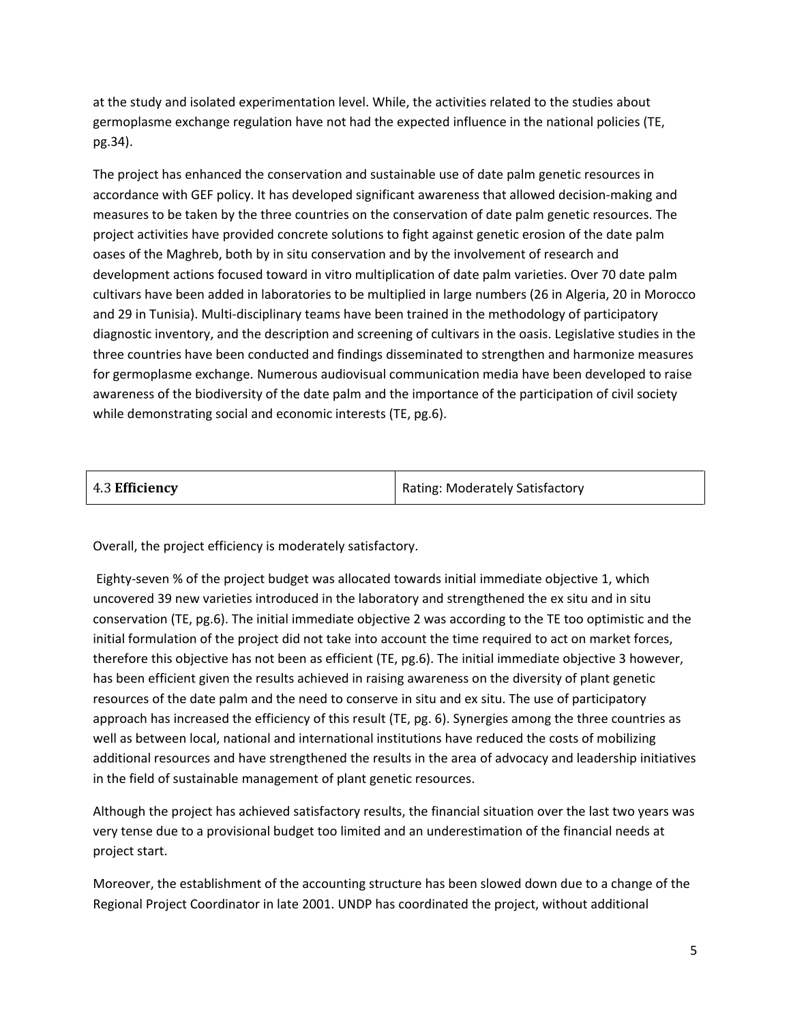at the study and isolated experimentation level. While, the activities related to the studies about germoplasme exchange regulation have not had the expected influence in the national policies (TE, pg.34).

The project has enhanced the conservation and sustainable use of date palm genetic resources in accordance with GEF policy. It has developed significant awareness that allowed decision-making and measures to be taken by the three countries on the conservation of date palm genetic resources. The project activities have provided concrete solutions to fight against genetic erosion of the date palm oases of the Maghreb, both by in situ conservation and by the involvement of research and development actions focused toward in vitro multiplication of date palm varieties. Over 70 date palm cultivars have been added in laboratories to be multiplied in large numbers (26 in Algeria, 20 in Morocco and 29 in Tunisia). Multi-disciplinary teams have been trained in the methodology of participatory diagnostic inventory, and the description and screening of cultivars in the oasis. Legislative studies in the three countries have been conducted and findings disseminated to strengthen and harmonize measures for germoplasme exchange. Numerous audiovisual communication media have been developed to raise awareness of the biodiversity of the date palm and the importance of the participation of civil society while demonstrating social and economic interests (TE, pg.6).

| 4.3 Efficiency | <b>Rating: Moderately Satisfactory</b> |
|----------------|----------------------------------------|

Overall, the project efficiency is moderately satisfactory.

Eighty-seven % of the project budget was allocated towards initial immediate objective 1, which uncovered 39 new varieties introduced in the laboratory and strengthened the ex situ and in situ conservation (TE, pg.6). The initial immediate objective 2 was according to the TE too optimistic and the initial formulation of the project did not take into account the time required to act on market forces, therefore this objective has not been as efficient (TE, pg.6). The initial immediate objective 3 however, has been efficient given the results achieved in raising awareness on the diversity of plant genetic resources of the date palm and the need to conserve in situ and ex situ. The use of participatory approach has increased the efficiency of this result (TE, pg. 6). Synergies among the three countries as well as between local, national and international institutions have reduced the costs of mobilizing additional resources and have strengthened the results in the area of advocacy and leadership initiatives in the field of sustainable management of plant genetic resources.

Although the project has achieved satisfactory results, the financial situation over the last two years was very tense due to a provisional budget too limited and an underestimation of the financial needs at project start.

Moreover, the establishment of the accounting structure has been slowed down due to a change of the Regional Project Coordinator in late 2001. UNDP has coordinated the project, without additional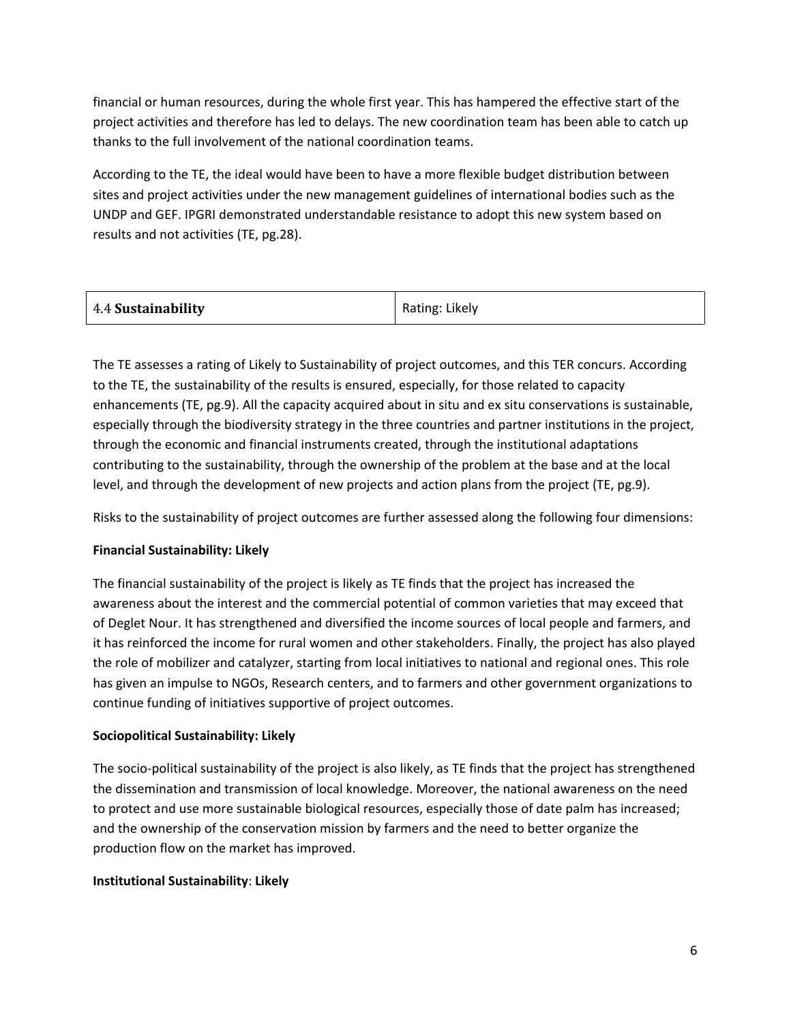financial or human resources, during the whole first year. This has hampered the effective start of the project activities and therefore has led to delays. The new coordination team has been able to catch up thanks to the full involvement of the national coordination teams.

According to the TE, the ideal would have been to have a more flexible budget distribution between sites and project activities under the new management guidelines of international bodies such as the UNDP and GEF. IPGRI demonstrated understandable resistance to adopt this new system based on results and not activities (TE, pg.28).

| 4.4 Sustainability | Rating: Likely |
|--------------------|----------------|
|--------------------|----------------|

The TE assesses a rating of Likely to Sustainability of project outcomes, and this TER concurs. According to the TE, the sustainability of the results is ensured, especially, for those related to capacity enhancements (TE, pg.9). All the capacity acquired about in situ and ex situ conservations is sustainable, especially through the biodiversity strategy in the three countries and partner institutions in the project, through the economic and financial instruments created, through the institutional adaptations contributing to the sustainability, through the ownership of the problem at the base and at the local level, and through the development of new projects and action plans from the project (TE, pg.9).

Risks to the sustainability of project outcomes are further assessed along the following four dimensions:

#### **Financial Sustainability: Likely**

The financial sustainability of the project is likely as TE finds that the project has increased the awareness about the interest and the commercial potential of common varieties that may exceed that of Deglet Nour. It has strengthened and diversified the income sources of local people and farmers, and it has reinforced the income for rural women and other stakeholders. Finally, the project has also played the role of mobilizer and catalyzer, starting from local initiatives to national and regional ones. This role has given an impulse to NGOs, Research centers, and to farmers and other government organizations to continue funding of initiatives supportive of project outcomes.

#### **Sociopolitical Sustainability: Likely**

The socio-political sustainability of the project is also likely, as TE finds that the project has strengthened the dissemination and transmission of local knowledge. Moreover, the national awareness on the need to protect and use more sustainable biological resources, especially those of date palm has increased; and the ownership of the conservation mission by farmers and the need to better organize the production flow on the market has improved.

#### **Institutional Sustainability**: **Likely**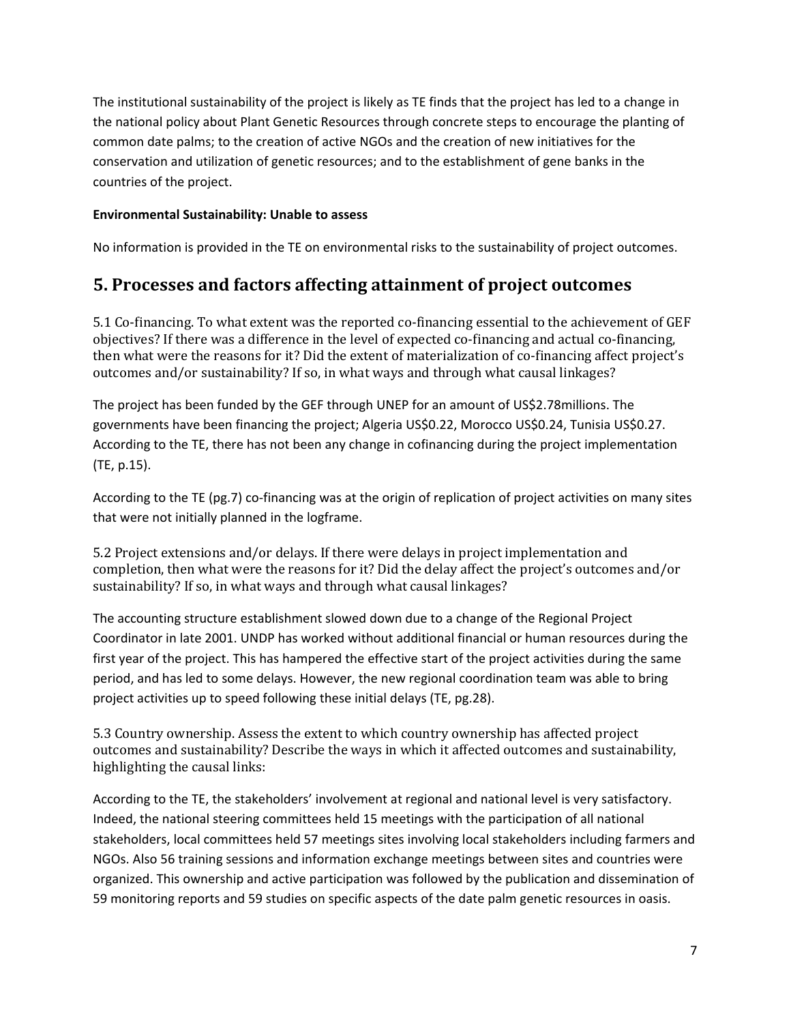The institutional sustainability of the project is likely as TE finds that the project has led to a change in the national policy about Plant Genetic Resources through concrete steps to encourage the planting of common date palms; to the creation of active NGOs and the creation of new initiatives for the conservation and utilization of genetic resources; and to the establishment of gene banks in the countries of the project.

#### **Environmental Sustainability: Unable to assess**

No information is provided in the TE on environmental risks to the sustainability of project outcomes.

### **5. Processes and factors affecting attainment of project outcomes**

5.1 Co-financing. To what extent was the reported co-financing essential to the achievement of GEF objectives? If there was a difference in the level of expected co-financing and actual co-financing, then what were the reasons for it? Did the extent of materialization of co-financing affect project's outcomes and/or sustainability? If so, in what ways and through what causal linkages?

The project has been funded by the GEF through UNEP for an amount of US\$2.78millions. The governments have been financing the project; Algeria US\$0.22, Morocco US\$0.24, Tunisia US\$0.27. According to the TE, there has not been any change in cofinancing during the project implementation (TE, p.15).

According to the TE (pg.7) co-financing was at the origin of replication of project activities on many sites that were not initially planned in the logframe.

5.2 Project extensions and/or delays. If there were delays in project implementation and completion, then what were the reasons for it? Did the delay affect the project's outcomes and/or sustainability? If so, in what ways and through what causal linkages?

The accounting structure establishment slowed down due to a change of the Regional Project Coordinator in late 2001. UNDP has worked without additional financial or human resources during the first year of the project. This has hampered the effective start of the project activities during the same period, and has led to some delays. However, the new regional coordination team was able to bring project activities up to speed following these initial delays (TE, pg.28).

5.3 Country ownership. Assess the extent to which country ownership has affected project outcomes and sustainability? Describe the ways in which it affected outcomes and sustainability, highlighting the causal links:

According to the TE, the stakeholders' involvement at regional and national level is very satisfactory. Indeed, the national steering committees held 15 meetings with the participation of all national stakeholders, local committees held 57 meetings sites involving local stakeholders including farmers and NGOs. Also 56 training sessions and information exchange meetings between sites and countries were organized. This ownership and active participation was followed by the publication and dissemination of 59 monitoring reports and 59 studies on specific aspects of the date palm genetic resources in oasis.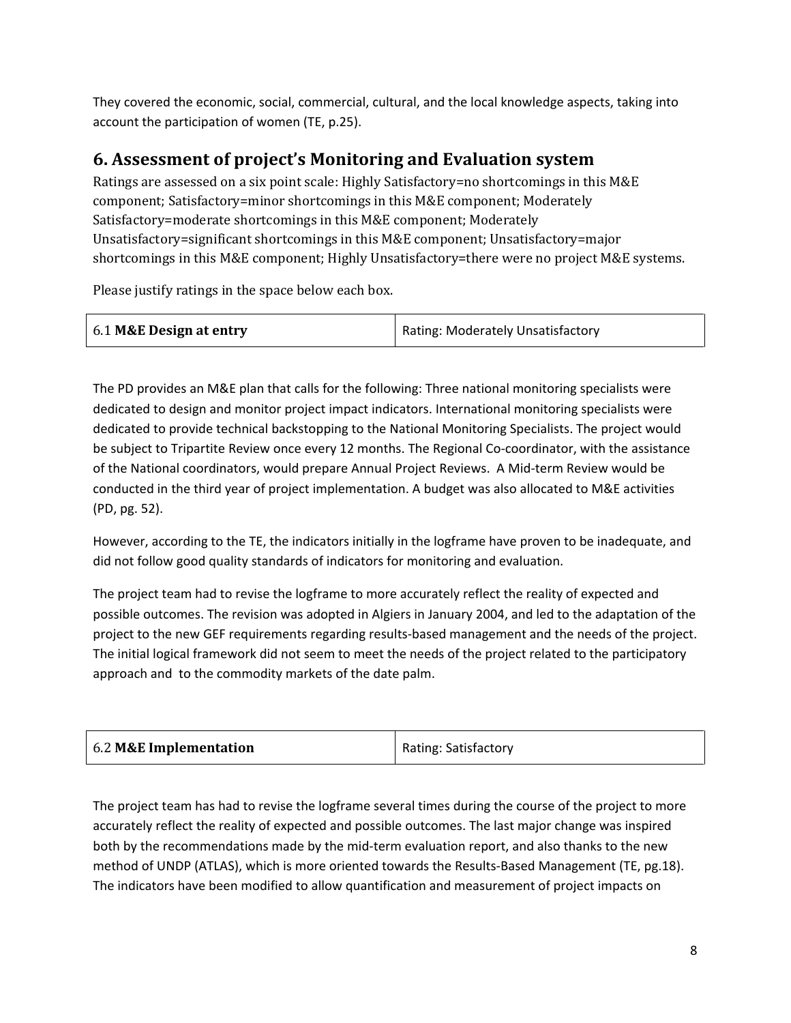They covered the economic, social, commercial, cultural, and the local knowledge aspects, taking into account the participation of women (TE, p.25).

## **6. Assessment of project's Monitoring and Evaluation system**

Ratings are assessed on a six point scale: Highly Satisfactory=no shortcomings in this M&E component; Satisfactory=minor shortcomings in this M&E component; Moderately Satisfactory=moderate shortcomings in this M&E component; Moderately Unsatisfactory=significant shortcomings in this M&E component; Unsatisfactory=major shortcomings in this M&E component; Highly Unsatisfactory=there were no project M&E systems.

Please justify ratings in the space below each box.

| 6.1 M&E Design at entry | Rating: Moderately Unsatisfactory |
|-------------------------|-----------------------------------|
|                         |                                   |

The PD provides an M&E plan that calls for the following: Three national monitoring specialists were dedicated to design and monitor project impact indicators. International monitoring specialists were dedicated to provide technical backstopping to the National Monitoring Specialists. The project would be subject to Tripartite Review once every 12 months. The Regional Co-coordinator, with the assistance of the National coordinators, would prepare Annual Project Reviews. A Mid-term Review would be conducted in the third year of project implementation. A budget was also allocated to M&E activities (PD, pg. 52).

However, according to the TE, the indicators initially in the logframe have proven to be inadequate, and did not follow good quality standards of indicators for monitoring and evaluation.

The project team had to revise the logframe to more accurately reflect the reality of expected and possible outcomes. The revision was adopted in Algiers in January 2004, and led to the adaptation of the project to the new GEF requirements regarding results-based management and the needs of the project. The initial logical framework did not seem to meet the needs of the project related to the participatory approach and to the commodity markets of the date palm.

| 6.2 M&E Implementation | <b>Rating: Satisfactory</b> |
|------------------------|-----------------------------|
|------------------------|-----------------------------|

The project team has had to revise the logframe several times during the course of the project to more accurately reflect the reality of expected and possible outcomes. The last major change was inspired both by the recommendations made by the mid-term evaluation report, and also thanks to the new method of UNDP (ATLAS), which is more oriented towards the Results-Based Management (TE, pg.18). The indicators have been modified to allow quantification and measurement of project impacts on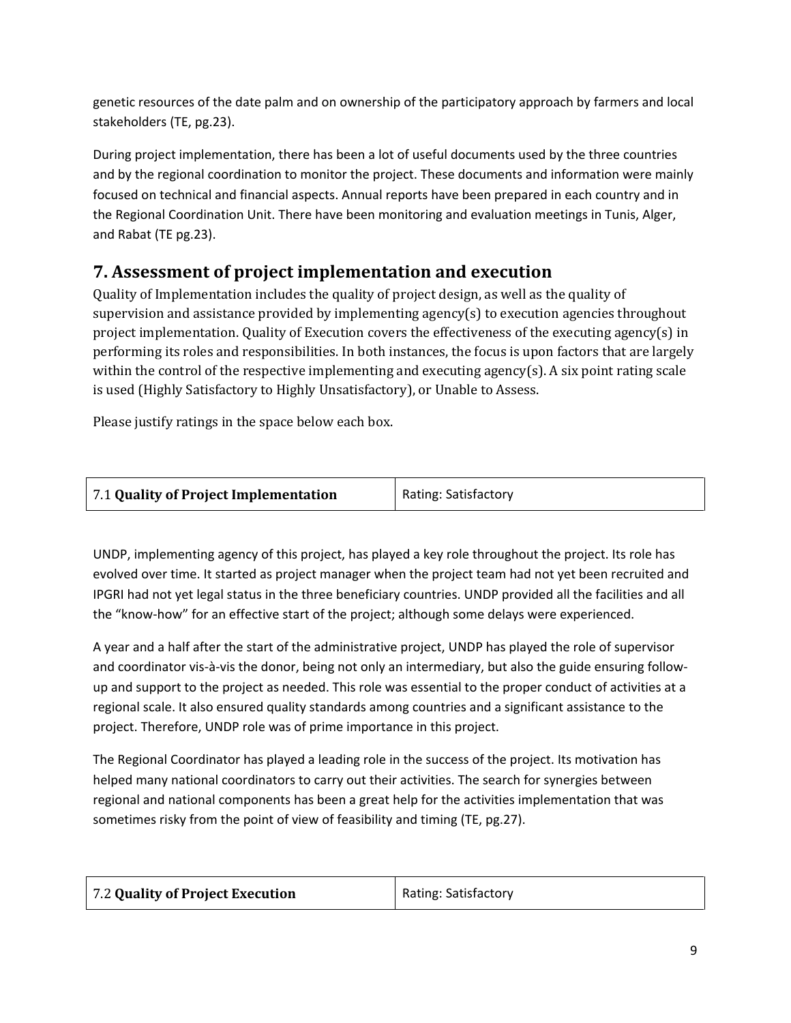genetic resources of the date palm and on ownership of the participatory approach by farmers and local stakeholders (TE, pg.23).

During project implementation, there has been a lot of useful documents used by the three countries and by the regional coordination to monitor the project. These documents and information were mainly focused on technical and financial aspects. Annual reports have been prepared in each country and in the Regional Coordination Unit. There have been monitoring and evaluation meetings in Tunis, Alger, and Rabat (TE pg.23).

## **7. Assessment of project implementation and execution**

Quality of Implementation includes the quality of project design, as well as the quality of supervision and assistance provided by implementing agency(s) to execution agencies throughout project implementation. Quality of Execution covers the effectiveness of the executing agency(s) in performing its roles and responsibilities. In both instances, the focus is upon factors that are largely within the control of the respective implementing and executing agency(s). A six point rating scale is used (Highly Satisfactory to Highly Unsatisfactory), or Unable to Assess.

Please justify ratings in the space below each box.

| 7.1 Quality of Project Implementation | Rating: Satisfactory |
|---------------------------------------|----------------------|
|                                       |                      |

UNDP, implementing agency of this project, has played a key role throughout the project. Its role has evolved over time. It started as project manager when the project team had not yet been recruited and IPGRI had not yet legal status in the three beneficiary countries. UNDP provided all the facilities and all the "know-how" for an effective start of the project; although some delays were experienced.

A year and a half after the start of the administrative project, UNDP has played the role of supervisor and coordinator vis-à-vis the donor, being not only an intermediary, but also the guide ensuring followup and support to the project as needed. This role was essential to the proper conduct of activities at a regional scale. It also ensured quality standards among countries and a significant assistance to the project. Therefore, UNDP role was of prime importance in this project.

The Regional Coordinator has played a leading role in the success of the project. Its motivation has helped many national coordinators to carry out their activities. The search for synergies between regional and national components has been a great help for the activities implementation that was sometimes risky from the point of view of feasibility and timing (TE, pg.27).

| 7.2 Quality of Project Execution | Rating: Satisfactory |
|----------------------------------|----------------------|
|----------------------------------|----------------------|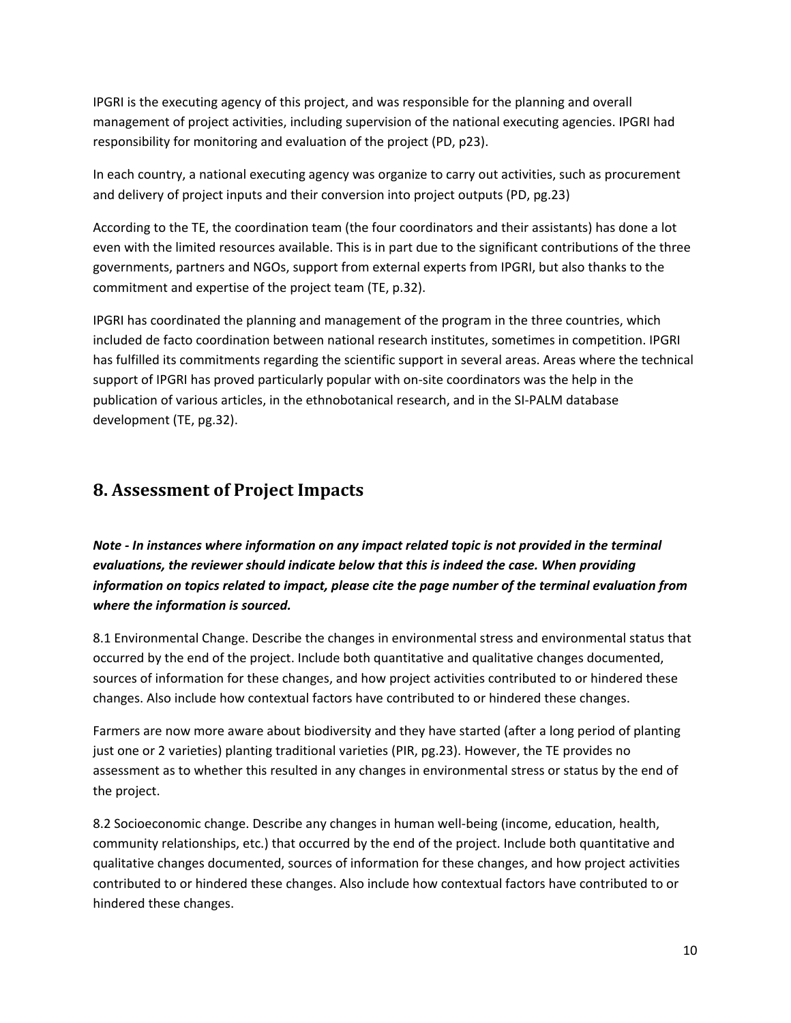IPGRI is the executing agency of this project, and was responsible for the planning and overall management of project activities, including supervision of the national executing agencies. IPGRI had responsibility for monitoring and evaluation of the project (PD, p23).

In each country, a national executing agency was organize to carry out activities, such as procurement and delivery of project inputs and their conversion into project outputs (PD, pg.23)

According to the TE, the coordination team (the four coordinators and their assistants) has done a lot even with the limited resources available. This is in part due to the significant contributions of the three governments, partners and NGOs, support from external experts from IPGRI, but also thanks to the commitment and expertise of the project team (TE, p.32).

IPGRI has coordinated the planning and management of the program in the three countries, which included de facto coordination between national research institutes, sometimes in competition. IPGRI has fulfilled its commitments regarding the scientific support in several areas. Areas where the technical support of IPGRI has proved particularly popular with on-site coordinators was the help in the publication of various articles, in the ethnobotanical research, and in the SI-PALM database development (TE, pg.32).

#### **8. Assessment of Project Impacts**

*Note - In instances where information on any impact related topic is not provided in the terminal evaluations, the reviewer should indicate below that this is indeed the case. When providing information on topics related to impact, please cite the page number of the terminal evaluation from where the information is sourced.* 

8.1 Environmental Change. Describe the changes in environmental stress and environmental status that occurred by the end of the project. Include both quantitative and qualitative changes documented, sources of information for these changes, and how project activities contributed to or hindered these changes. Also include how contextual factors have contributed to or hindered these changes.

Farmers are now more aware about biodiversity and they have started (after a long period of planting just one or 2 varieties) planting traditional varieties (PIR, pg.23). However, the TE provides no assessment as to whether this resulted in any changes in environmental stress or status by the end of the project.

8.2 Socioeconomic change. Describe any changes in human well-being (income, education, health, community relationships, etc.) that occurred by the end of the project. Include both quantitative and qualitative changes documented, sources of information for these changes, and how project activities contributed to or hindered these changes. Also include how contextual factors have contributed to or hindered these changes.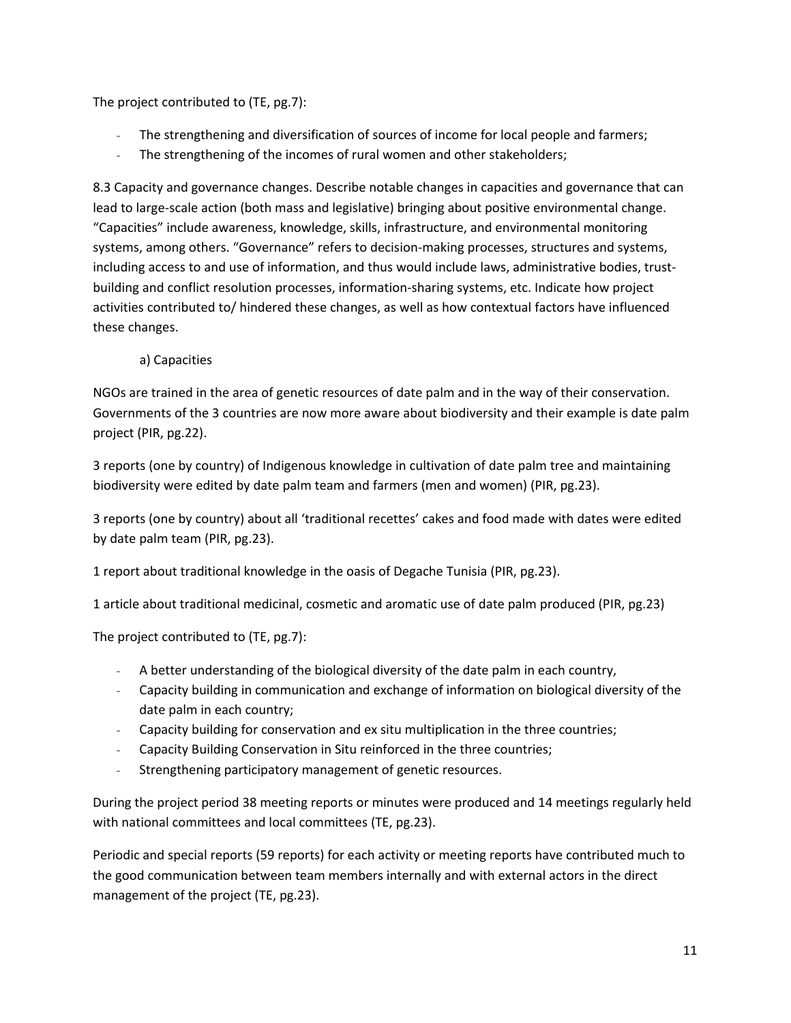The project contributed to (TE, pg.7):

- The strengthening and diversification of sources of income for local people and farmers;
- The strengthening of the incomes of rural women and other stakeholders;

8.3 Capacity and governance changes. Describe notable changes in capacities and governance that can lead to large-scale action (both mass and legislative) bringing about positive environmental change. "Capacities" include awareness, knowledge, skills, infrastructure, and environmental monitoring systems, among others. "Governance" refers to decision-making processes, structures and systems, including access to and use of information, and thus would include laws, administrative bodies, trustbuilding and conflict resolution processes, information-sharing systems, etc. Indicate how project activities contributed to/ hindered these changes, as well as how contextual factors have influenced these changes.

a) Capacities

NGOs are trained in the area of genetic resources of date palm and in the way of their conservation. Governments of the 3 countries are now more aware about biodiversity and their example is date palm project (PIR, pg.22).

3 reports (one by country) of Indigenous knowledge in cultivation of date palm tree and maintaining biodiversity were edited by date palm team and farmers (men and women) (PIR, pg.23).

3 reports (one by country) about all 'traditional recettes' cakes and food made with dates were edited by date palm team (PIR, pg.23).

1 report about traditional knowledge in the oasis of Degache Tunisia (PIR, pg.23).

1 article about traditional medicinal, cosmetic and aromatic use of date palm produced (PIR, pg.23)

The project contributed to (TE, pg.7):

- A better understanding of the biological diversity of the date palm in each country,
- Capacity building in communication and exchange of information on biological diversity of the date palm in each country;
- Capacity building for conservation and ex situ multiplication in the three countries;
- Capacity Building Conservation in Situ reinforced in the three countries;
- Strengthening participatory management of genetic resources.

During the project period 38 meeting reports or minutes were produced and 14 meetings regularly held with national committees and local committees (TE, pg.23).

Periodic and special reports (59 reports) for each activity or meeting reports have contributed much to the good communication between team members internally and with external actors in the direct management of the project (TE, pg.23).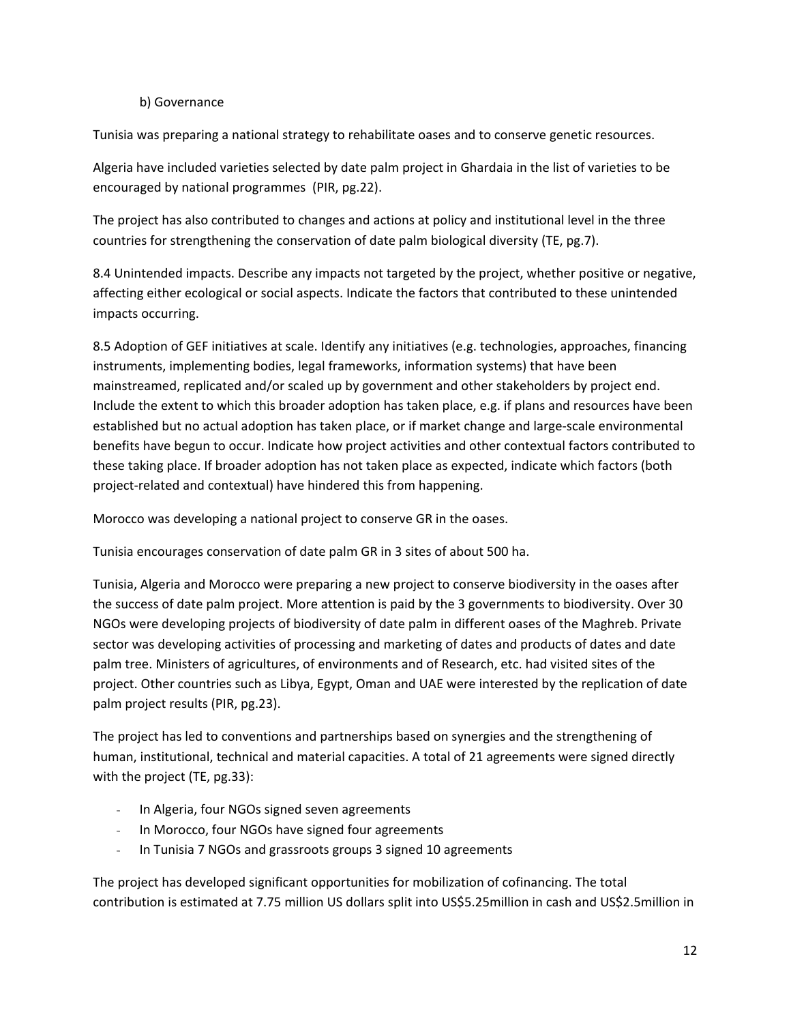#### b) Governance

Tunisia was preparing a national strategy to rehabilitate oases and to conserve genetic resources.

Algeria have included varieties selected by date palm project in Ghardaia in the list of varieties to be encouraged by national programmes (PIR, pg.22).

The project has also contributed to changes and actions at policy and institutional level in the three countries for strengthening the conservation of date palm biological diversity (TE, pg.7).

8.4 Unintended impacts. Describe any impacts not targeted by the project, whether positive or negative, affecting either ecological or social aspects. Indicate the factors that contributed to these unintended impacts occurring.

8.5 Adoption of GEF initiatives at scale. Identify any initiatives (e.g. technologies, approaches, financing instruments, implementing bodies, legal frameworks, information systems) that have been mainstreamed, replicated and/or scaled up by government and other stakeholders by project end. Include the extent to which this broader adoption has taken place, e.g. if plans and resources have been established but no actual adoption has taken place, or if market change and large-scale environmental benefits have begun to occur. Indicate how project activities and other contextual factors contributed to these taking place. If broader adoption has not taken place as expected, indicate which factors (both project-related and contextual) have hindered this from happening.

Morocco was developing a national project to conserve GR in the oases.

Tunisia encourages conservation of date palm GR in 3 sites of about 500 ha.

Tunisia, Algeria and Morocco were preparing a new project to conserve biodiversity in the oases after the success of date palm project. More attention is paid by the 3 governments to biodiversity. Over 30 NGOs were developing projects of biodiversity of date palm in different oases of the Maghreb. Private sector was developing activities of processing and marketing of dates and products of dates and date palm tree. Ministers of agricultures, of environments and of Research, etc. had visited sites of the project. Other countries such as Libya, Egypt, Oman and UAE were interested by the replication of date palm project results (PIR, pg.23).

The project has led to conventions and partnerships based on synergies and the strengthening of human, institutional, technical and material capacities. A total of 21 agreements were signed directly with the project (TE, pg.33):

- In Algeria, four NGOs signed seven agreements
- In Morocco, four NGOs have signed four agreements
- In Tunisia 7 NGOs and grassroots groups 3 signed 10 agreements

The project has developed significant opportunities for mobilization of cofinancing. The total contribution is estimated at 7.75 million US dollars split into US\$5.25million in cash and US\$2.5million in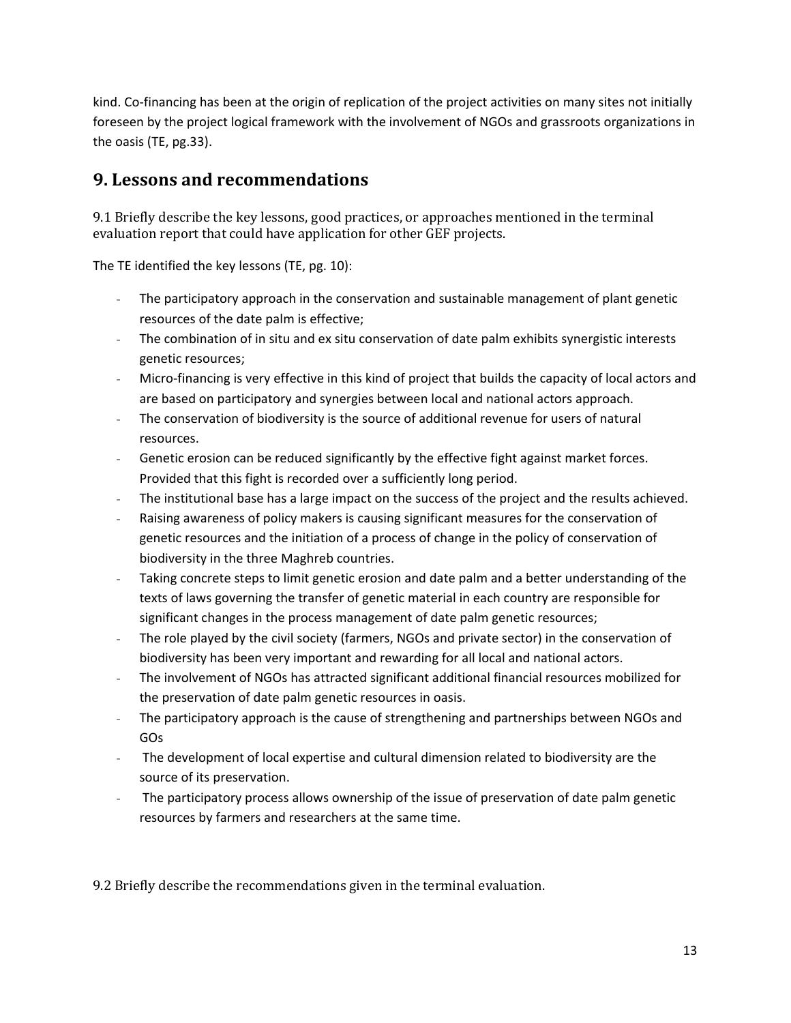kind. Co-financing has been at the origin of replication of the project activities on many sites not initially foreseen by the project logical framework with the involvement of NGOs and grassroots organizations in the oasis (TE, pg.33).

## **9. Lessons and recommendations**

9.1 Briefly describe the key lessons, good practices, or approaches mentioned in the terminal evaluation report that could have application for other GEF projects.

The TE identified the key lessons (TE, pg. 10):

- The participatory approach in the conservation and sustainable management of plant genetic resources of the date palm is effective;
- The combination of in situ and ex situ conservation of date palm exhibits synergistic interests genetic resources;
- Micro-financing is very effective in this kind of project that builds the capacity of local actors and are based on participatory and synergies between local and national actors approach.
- The conservation of biodiversity is the source of additional revenue for users of natural resources.
- Genetic erosion can be reduced significantly by the effective fight against market forces. Provided that this fight is recorded over a sufficiently long period.
- The institutional base has a large impact on the success of the project and the results achieved.
- Raising awareness of policy makers is causing significant measures for the conservation of genetic resources and the initiation of a process of change in the policy of conservation of biodiversity in the three Maghreb countries.
- Taking concrete steps to limit genetic erosion and date palm and a better understanding of the texts of laws governing the transfer of genetic material in each country are responsible for significant changes in the process management of date palm genetic resources;
- The role played by the civil society (farmers, NGOs and private sector) in the conservation of biodiversity has been very important and rewarding for all local and national actors.
- The involvement of NGOs has attracted significant additional financial resources mobilized for the preservation of date palm genetic resources in oasis.
- The participatory approach is the cause of strengthening and partnerships between NGOs and GOs
- The development of local expertise and cultural dimension related to biodiversity are the source of its preservation.
- The participatory process allows ownership of the issue of preservation of date palm genetic resources by farmers and researchers at the same time.

9.2 Briefly describe the recommendations given in the terminal evaluation.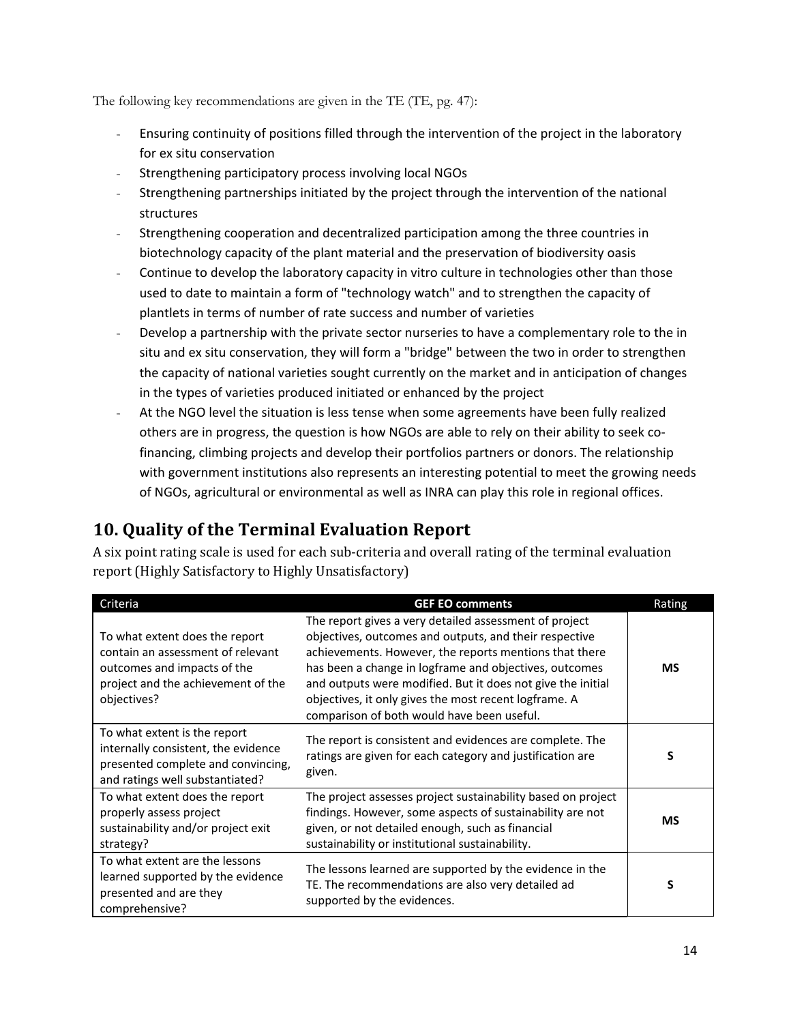The following key recommendations are given in the TE (TE, pg. 47):

- Ensuring continuity of positions filled through the intervention of the project in the laboratory for ex situ conservation
- Strengthening participatory process involving local NGOs
- Strengthening partnerships initiated by the project through the intervention of the national structures
- Strengthening cooperation and decentralized participation among the three countries in biotechnology capacity of the plant material and the preservation of biodiversity oasis
- Continue to develop the laboratory capacity in vitro culture in technologies other than those used to date to maintain a form of "technology watch" and to strengthen the capacity of plantlets in terms of number of rate success and number of varieties
- Develop a partnership with the private sector nurseries to have a complementary role to the in situ and ex situ conservation, they will form a "bridge" between the two in order to strengthen the capacity of national varieties sought currently on the market and in anticipation of changes in the types of varieties produced initiated or enhanced by the project
- At the NGO level the situation is less tense when some agreements have been fully realized others are in progress, the question is how NGOs are able to rely on their ability to seek cofinancing, climbing projects and develop their portfolios partners or donors. The relationship with government institutions also represents an interesting potential to meet the growing needs of NGOs, agricultural or environmental as well as INRA can play this role in regional offices.

## **10. Quality of the Terminal Evaluation Report**

A six point rating scale is used for each sub-criteria and overall rating of the terminal evaluation report (Highly Satisfactory to Highly Unsatisfactory)

| Criteria                                                                                                                                                | <b>GEF EO comments</b>                                                                                                                                                                                                                                                                                                                                                                                     | Rating    |
|---------------------------------------------------------------------------------------------------------------------------------------------------------|------------------------------------------------------------------------------------------------------------------------------------------------------------------------------------------------------------------------------------------------------------------------------------------------------------------------------------------------------------------------------------------------------------|-----------|
| To what extent does the report<br>contain an assessment of relevant<br>outcomes and impacts of the<br>project and the achievement of the<br>objectives? | The report gives a very detailed assessment of project<br>objectives, outcomes and outputs, and their respective<br>achievements. However, the reports mentions that there<br>has been a change in logframe and objectives, outcomes<br>and outputs were modified. But it does not give the initial<br>objectives, it only gives the most recent logframe. A<br>comparison of both would have been useful. | <b>MS</b> |
| To what extent is the report<br>internally consistent, the evidence<br>presented complete and convincing,<br>and ratings well substantiated?            | The report is consistent and evidences are complete. The<br>ratings are given for each category and justification are<br>given.                                                                                                                                                                                                                                                                            | s         |
| To what extent does the report<br>properly assess project<br>sustainability and/or project exit<br>strategy?                                            | The project assesses project sustainability based on project<br>findings. However, some aspects of sustainability are not<br>given, or not detailed enough, such as financial<br>sustainability or institutional sustainability.                                                                                                                                                                           | <b>MS</b> |
| To what extent are the lessons<br>learned supported by the evidence<br>presented and are they<br>comprehensive?                                         | The lessons learned are supported by the evidence in the<br>TE. The recommendations are also very detailed ad<br>supported by the evidences.                                                                                                                                                                                                                                                               |           |